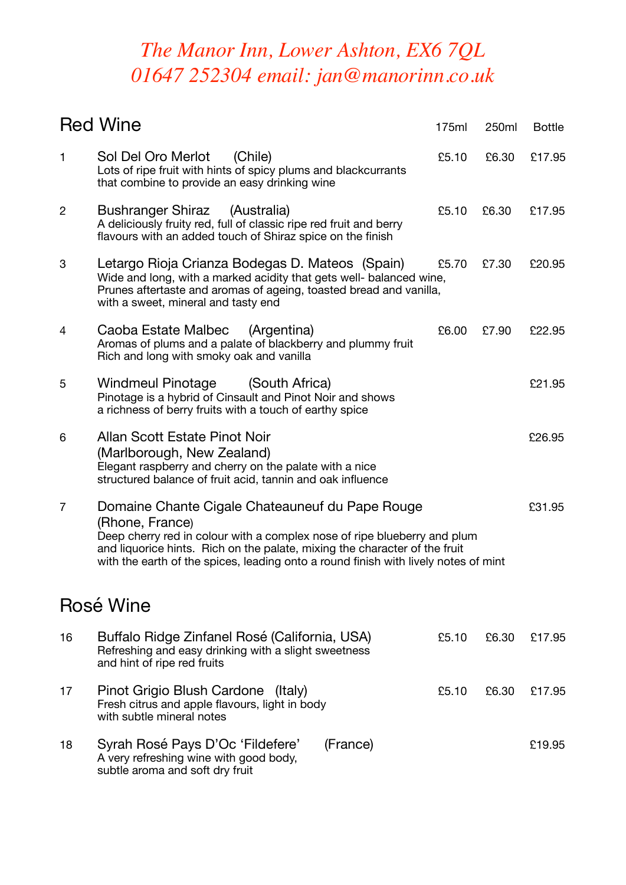## *The Manor Inn, Lower Ashton, EX6 7QL 01647 252304 email: jan@manorinn.co.uk*

|                | <b>Red Wine</b>                                                                                                                                                                                                                                                                                                     | 175ml | 250ml | <b>Bottle</b> |
|----------------|---------------------------------------------------------------------------------------------------------------------------------------------------------------------------------------------------------------------------------------------------------------------------------------------------------------------|-------|-------|---------------|
| 1              | Sol Del Oro Merlot<br>(Chile)<br>Lots of ripe fruit with hints of spicy plums and blackcurrants<br>that combine to provide an easy drinking wine                                                                                                                                                                    | £5.10 | £6.30 | £17.95        |
| $\overline{c}$ | <b>Bushranger Shiraz</b><br>(Australia)<br>A deliciously fruity red, full of classic ripe red fruit and berry<br>flavours with an added touch of Shiraz spice on the finish                                                                                                                                         | £5.10 | £6.30 | £17.95        |
| 3              | Letargo Rioja Crianza Bodegas D. Mateos (Spain)<br>Wide and long, with a marked acidity that gets well- balanced wine,<br>Prunes aftertaste and aromas of ageing, toasted bread and vanilla,<br>with a sweet, mineral and tasty end                                                                                 | £5.70 | £7.30 | £20.95        |
| 4              | Caoba Estate Malbec<br>(Argentina)<br>Aromas of plums and a palate of blackberry and plummy fruit<br>Rich and long with smoky oak and vanilla                                                                                                                                                                       | £6.00 | £7.90 | £22.95        |
| 5              | <b>Windmeul Pinotage</b><br>(South Africa)<br>Pinotage is a hybrid of Cinsault and Pinot Noir and shows<br>a richness of berry fruits with a touch of earthy spice                                                                                                                                                  |       |       | £21.95        |
| 6              | Allan Scott Estate Pinot Noir<br>(Marlborough, New Zealand)<br>Elegant raspberry and cherry on the palate with a nice<br>structured balance of fruit acid, tannin and oak influence                                                                                                                                 |       |       | £26.95        |
| 7              | Domaine Chante Cigale Chateauneuf du Pape Rouge<br>(Rhone, France)<br>Deep cherry red in colour with a complex nose of ripe blueberry and plum<br>and liquorice hints. Rich on the palate, mixing the character of the fruit<br>with the earth of the spices, leading onto a round finish with lively notes of mint |       |       | £31.95        |
|                | Rosé Wine                                                                                                                                                                                                                                                                                                           |       |       |               |
| 16             | Buffalo Ridge Zinfanel Rosé (California, USA)<br>Refreshing and easy drinking with a slight sweetness<br>and hint of ripe red fruits                                                                                                                                                                                | £5.10 | £6.30 | £17.95        |
| 17             | Pinot Grigio Blush Cardone (Italy)<br>Fresh citrus and apple flavours, light in body<br>with subtle mineral notes                                                                                                                                                                                                   | £5.10 | £6.30 | £17.95        |
| 18             | Syrah Rosé Pays D'Oc 'Fildefere'<br>(France)<br>A very refreshing wine with good body,<br>subtle aroma and soft dry fruit                                                                                                                                                                                           |       |       | £19.95        |